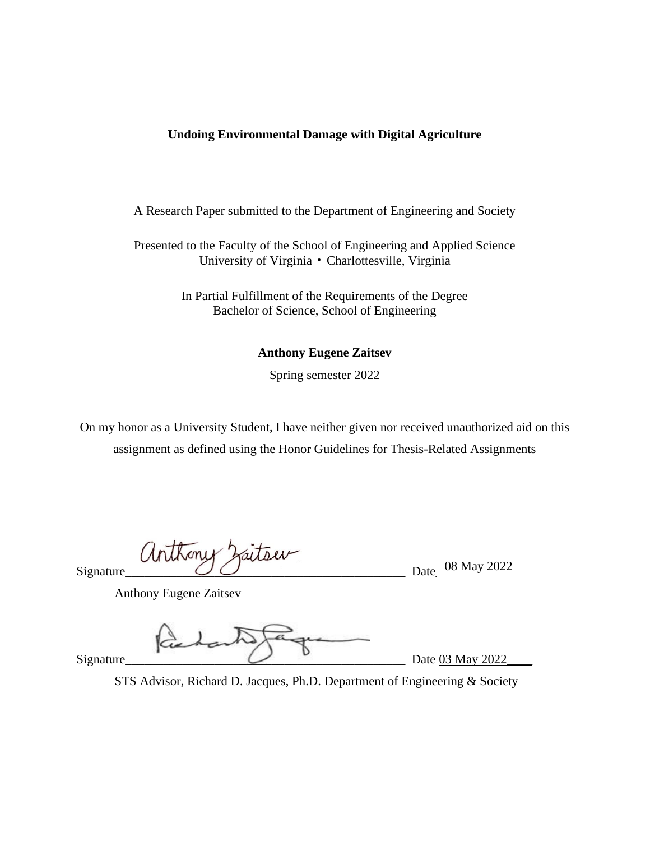# **Undoing Environmental Damage with Digital Agriculture**

A Research Paper submitted to the Department of Engineering and Society

Presented to the Faculty of the School of Engineering and Applied Science University of Virginia • Charlottesville, Virginia

> In Partial Fulfillment of the Requirements of the Degree Bachelor of Science, School of Engineering

> > **Anthony Eugene Zaitsev**

Spring semester 2022

On my honor as a University Student, I have neither given nor received unauthorized aid on this assignment as defined using the Honor Guidelines for Thesis-Related Assignments

arthony 2  $Signature$  Date\_  $\bigcirc$  O  $\bigcirc$  Date\_  $\bigcirc$  8 May 2022

Anthony Eugene Zaitsev

 $\bigcup$   $\bigcup$  Date 03 May 2022

STS Advisor, Richard D. Jacques, Ph.D. Department of Engineering & Society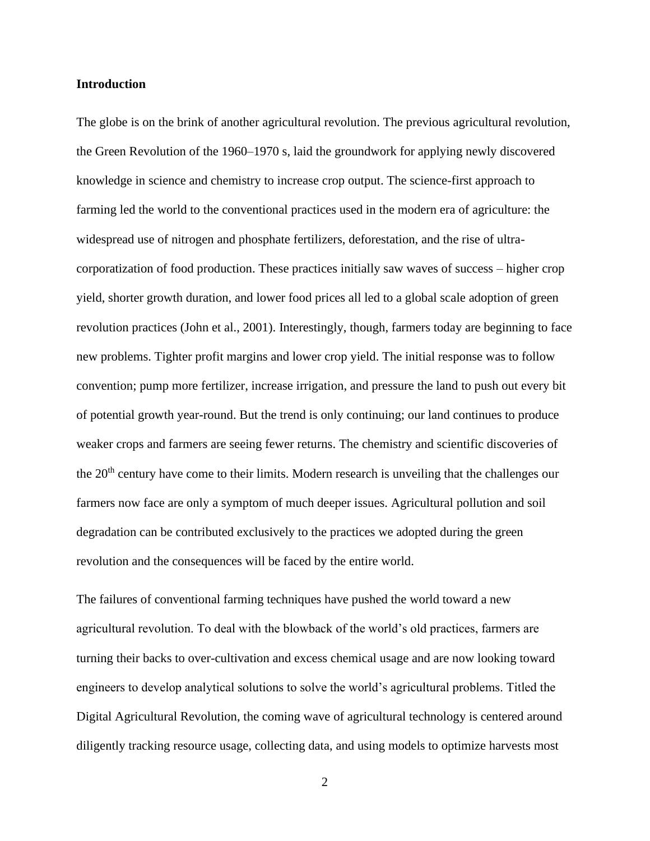#### **Introduction**

The globe is on the brink of another agricultural revolution. The previous agricultural revolution, the Green Revolution of the 1960–1970 s, laid the groundwork for applying newly discovered knowledge in science and chemistry to increase crop output. The science-first approach to farming led the world to the conventional practices used in the modern era of agriculture: the widespread use of nitrogen and phosphate fertilizers, deforestation, and the rise of ultracorporatization of food production. These practices initially saw waves of success – higher crop yield, shorter growth duration, and lower food prices all led to a global scale adoption of green revolution practices (John et al., 2001). Interestingly, though, farmers today are beginning to face new problems. Tighter profit margins and lower crop yield. The initial response was to follow convention; pump more fertilizer, increase irrigation, and pressure the land to push out every bit of potential growth year-round. But the trend is only continuing; our land continues to produce weaker crops and farmers are seeing fewer returns. The chemistry and scientific discoveries of the 20<sup>th</sup> century have come to their limits. Modern research is unveiling that the challenges our farmers now face are only a symptom of much deeper issues. Agricultural pollution and soil degradation can be contributed exclusively to the practices we adopted during the green revolution and the consequences will be faced by the entire world.

The failures of conventional farming techniques have pushed the world toward a new agricultural revolution. To deal with the blowback of the world's old practices, farmers are turning their backs to over-cultivation and excess chemical usage and are now looking toward engineers to develop analytical solutions to solve the world's agricultural problems. Titled the Digital Agricultural Revolution, the coming wave of agricultural technology is centered around diligently tracking resource usage, collecting data, and using models to optimize harvests most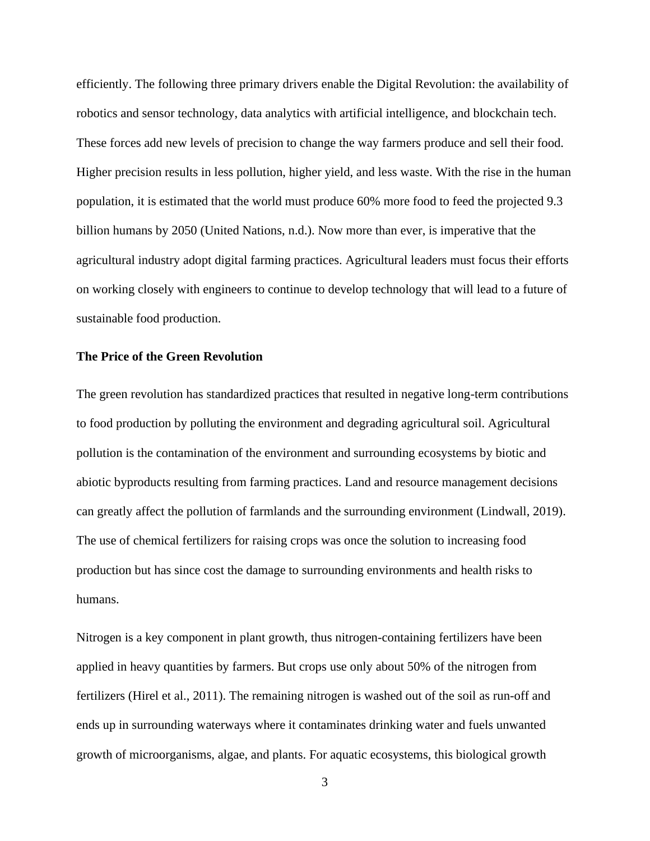efficiently. The following three primary drivers enable the Digital Revolution: the availability of robotics and sensor technology, data analytics with artificial intelligence, and blockchain tech. These forces add new levels of precision to change the way farmers produce and sell their food. Higher precision results in less pollution, higher yield, and less waste. With the rise in the human population, it is estimated that the world must produce 60% more food to feed the projected 9.3 billion humans by 2050 (United Nations, n.d.). Now more than ever, is imperative that the agricultural industry adopt digital farming practices. Agricultural leaders must focus their efforts on working closely with engineers to continue to develop technology that will lead to a future of sustainable food production.

### **The Price of the Green Revolution**

The green revolution has standardized practices that resulted in negative long-term contributions to food production by polluting the environment and degrading agricultural soil. Agricultural pollution is the contamination of the environment and surrounding ecosystems by biotic and abiotic byproducts resulting from farming practices. Land and resource management decisions can greatly affect the pollution of farmlands and the surrounding environment (Lindwall, 2019). The use of chemical fertilizers for raising crops was once the solution to increasing food production but has since cost the damage to surrounding environments and health risks to humans.

Nitrogen is a key component in plant growth, thus nitrogen-containing fertilizers have been applied in heavy quantities by farmers. But crops use only about 50% of the nitrogen from fertilizers (Hirel et al., 2011). The remaining nitrogen is washed out of the soil as run-off and ends up in surrounding waterways where it contaminates drinking water and fuels unwanted growth of microorganisms, algae, and plants. For aquatic ecosystems, this biological growth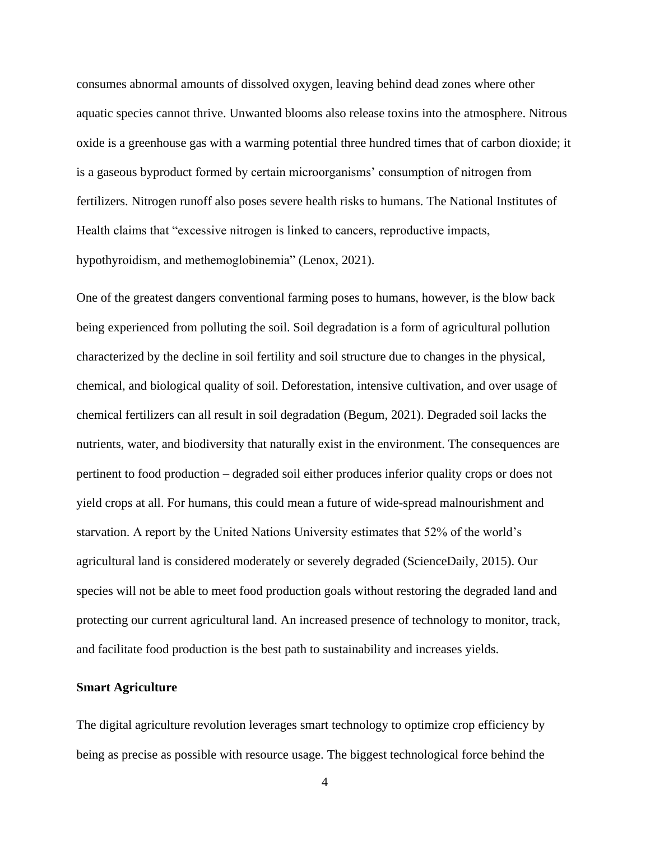consumes abnormal amounts of dissolved oxygen, leaving behind dead zones where other aquatic species cannot thrive. Unwanted blooms also release toxins into the atmosphere. Nitrous oxide is a greenhouse gas with a warming potential three hundred times that of carbon dioxide; it is a gaseous byproduct formed by certain microorganisms' consumption of nitrogen from fertilizers. Nitrogen runoff also poses severe health risks to humans. The National Institutes of Health claims that "excessive nitrogen is linked to cancers, reproductive impacts, hypothyroidism, and methemoglobinemia" (Lenox, 2021).

One of the greatest dangers conventional farming poses to humans, however, is the blow back being experienced from polluting the soil. Soil degradation is a form of agricultural pollution characterized by the decline in soil fertility and soil structure due to changes in the physical, chemical, and biological quality of soil. Deforestation, intensive cultivation, and over usage of chemical fertilizers can all result in soil degradation (Begum, 2021). Degraded soil lacks the nutrients, water, and biodiversity that naturally exist in the environment. The consequences are pertinent to food production – degraded soil either produces inferior quality crops or does not yield crops at all. For humans, this could mean a future of wide-spread malnourishment and starvation. A report by the United Nations University estimates that 52% of the world's agricultural land is considered moderately or severely degraded (ScienceDaily, 2015). Our species will not be able to meet food production goals without restoring the degraded land and protecting our current agricultural land. An increased presence of technology to monitor, track, and facilitate food production is the best path to sustainability and increases yields.

#### **Smart Agriculture**

The digital agriculture revolution leverages smart technology to optimize crop efficiency by being as precise as possible with resource usage. The biggest technological force behind the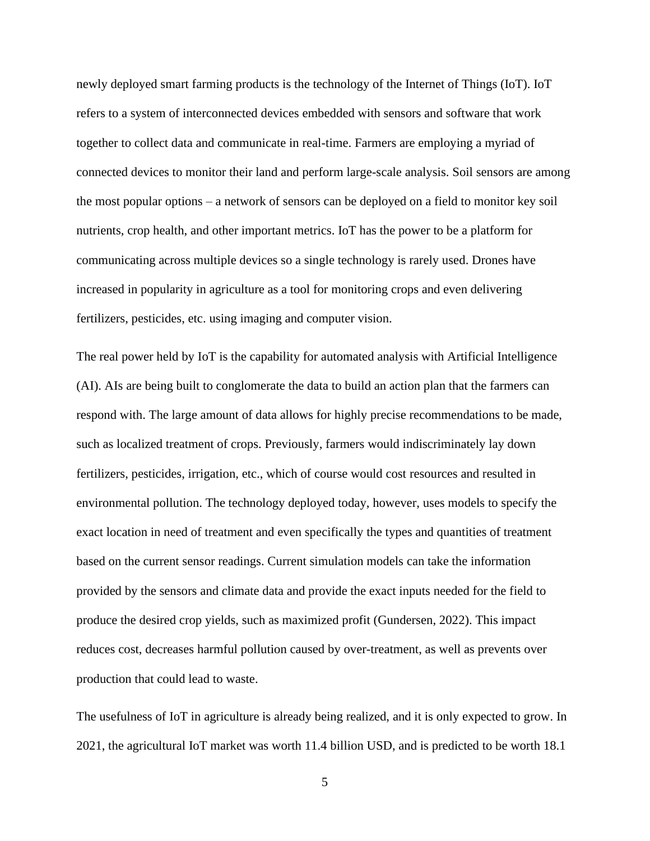newly deployed smart farming products is the technology of the Internet of Things (IoT). IoT refers to a system of interconnected devices embedded with sensors and software that work together to collect data and communicate in real-time. Farmers are employing a myriad of connected devices to monitor their land and perform large-scale analysis. Soil sensors are among the most popular options – a network of sensors can be deployed on a field to monitor key soil nutrients, crop health, and other important metrics. IoT has the power to be a platform for communicating across multiple devices so a single technology is rarely used. Drones have increased in popularity in agriculture as a tool for monitoring crops and even delivering fertilizers, pesticides, etc. using imaging and computer vision.

The real power held by IoT is the capability for automated analysis with Artificial Intelligence (AI). AIs are being built to conglomerate the data to build an action plan that the farmers can respond with. The large amount of data allows for highly precise recommendations to be made, such as localized treatment of crops. Previously, farmers would indiscriminately lay down fertilizers, pesticides, irrigation, etc., which of course would cost resources and resulted in environmental pollution. The technology deployed today, however, uses models to specify the exact location in need of treatment and even specifically the types and quantities of treatment based on the current sensor readings. Current simulation models can take the information provided by the sensors and climate data and provide the exact inputs needed for the field to produce the desired crop yields, such as maximized profit (Gundersen, 2022). This impact reduces cost, decreases harmful pollution caused by over-treatment, as well as prevents over production that could lead to waste.

The usefulness of IoT in agriculture is already being realized, and it is only expected to grow. In 2021, the agricultural IoT market was worth 11.4 billion USD, and is predicted to be worth 18.1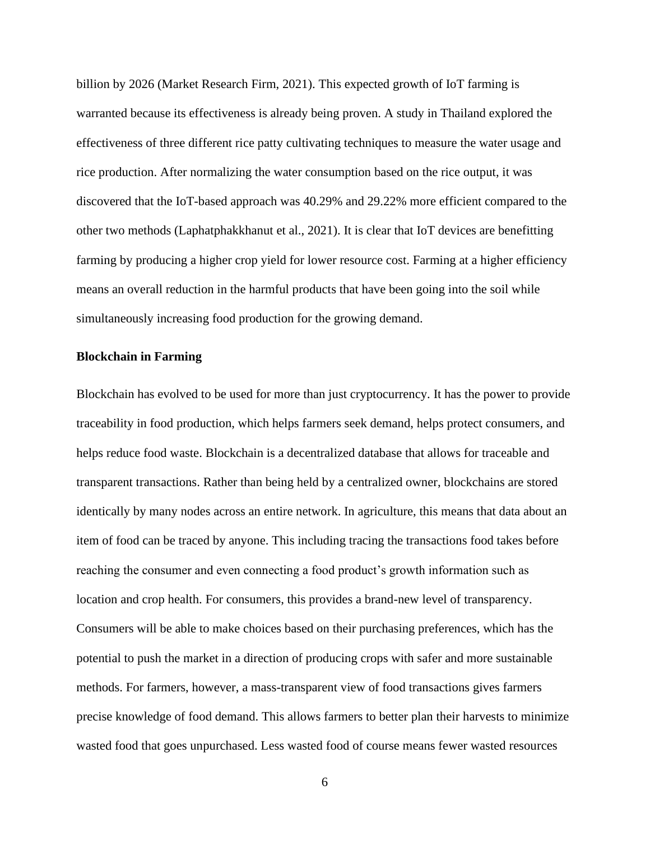billion by 2026 (Market Research Firm, 2021). This expected growth of IoT farming is warranted because its effectiveness is already being proven. A study in Thailand explored the effectiveness of three different rice patty cultivating techniques to measure the water usage and rice production. After normalizing the water consumption based on the rice output, it was discovered that the IoT-based approach was 40.29% and 29.22% more efficient compared to the other two methods (Laphatphakkhanut et al., 2021). It is clear that IoT devices are benefitting farming by producing a higher crop yield for lower resource cost. Farming at a higher efficiency means an overall reduction in the harmful products that have been going into the soil while simultaneously increasing food production for the growing demand.

#### **Blockchain in Farming**

Blockchain has evolved to be used for more than just cryptocurrency. It has the power to provide traceability in food production, which helps farmers seek demand, helps protect consumers, and helps reduce food waste. Blockchain is a decentralized database that allows for traceable and transparent transactions. Rather than being held by a centralized owner, blockchains are stored identically by many nodes across an entire network. In agriculture, this means that data about an item of food can be traced by anyone. This including tracing the transactions food takes before reaching the consumer and even connecting a food product's growth information such as location and crop health. For consumers, this provides a brand-new level of transparency. Consumers will be able to make choices based on their purchasing preferences, which has the potential to push the market in a direction of producing crops with safer and more sustainable methods. For farmers, however, a mass-transparent view of food transactions gives farmers precise knowledge of food demand. This allows farmers to better plan their harvests to minimize wasted food that goes unpurchased. Less wasted food of course means fewer wasted resources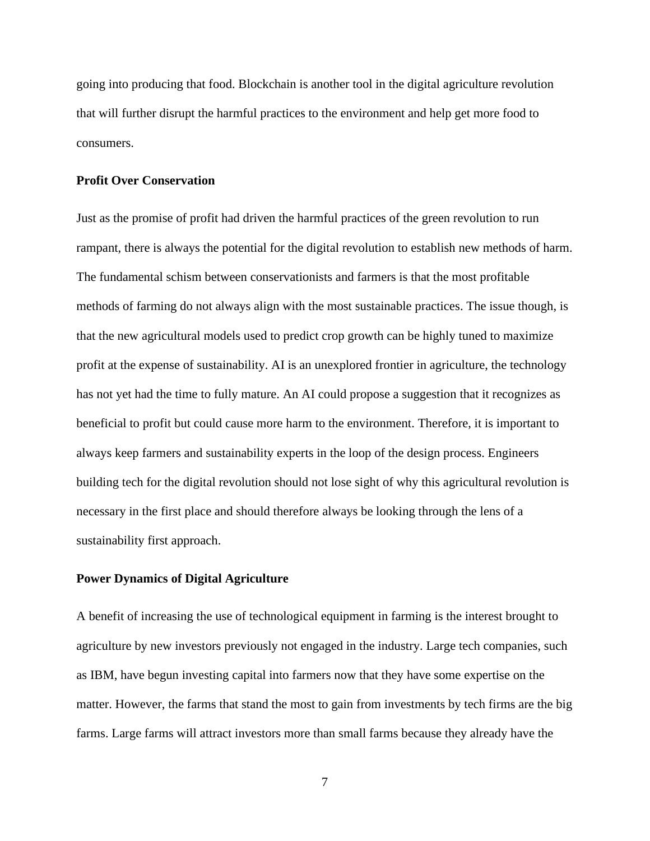going into producing that food. Blockchain is another tool in the digital agriculture revolution that will further disrupt the harmful practices to the environment and help get more food to consumers.

#### **Profit Over Conservation**

Just as the promise of profit had driven the harmful practices of the green revolution to run rampant, there is always the potential for the digital revolution to establish new methods of harm. The fundamental schism between conservationists and farmers is that the most profitable methods of farming do not always align with the most sustainable practices. The issue though, is that the new agricultural models used to predict crop growth can be highly tuned to maximize profit at the expense of sustainability. AI is an unexplored frontier in agriculture, the technology has not yet had the time to fully mature. An AI could propose a suggestion that it recognizes as beneficial to profit but could cause more harm to the environment. Therefore, it is important to always keep farmers and sustainability experts in the loop of the design process. Engineers building tech for the digital revolution should not lose sight of why this agricultural revolution is necessary in the first place and should therefore always be looking through the lens of a sustainability first approach.

## **Power Dynamics of Digital Agriculture**

A benefit of increasing the use of technological equipment in farming is the interest brought to agriculture by new investors previously not engaged in the industry. Large tech companies, such as IBM, have begun investing capital into farmers now that they have some expertise on the matter. However, the farms that stand the most to gain from investments by tech firms are the big farms. Large farms will attract investors more than small farms because they already have the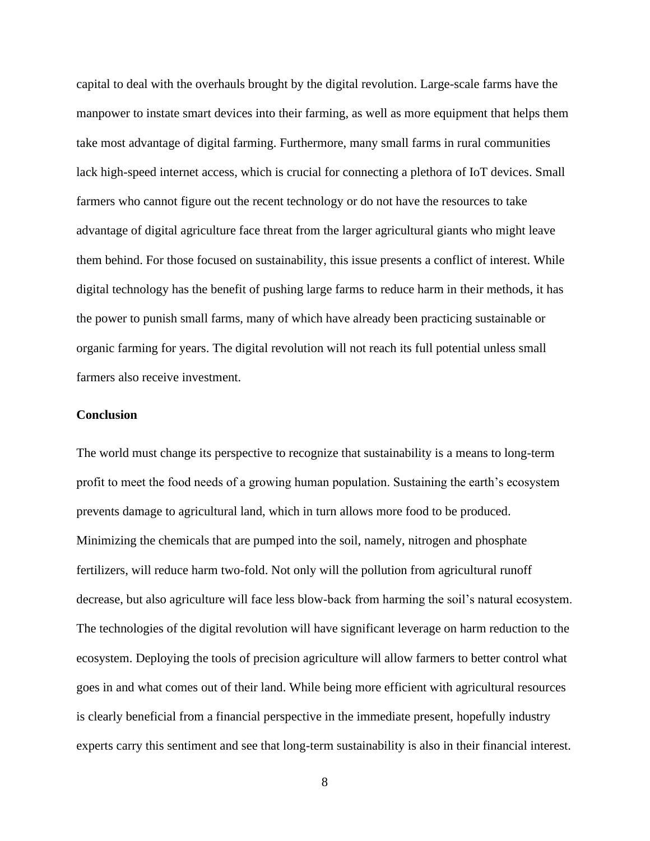capital to deal with the overhauls brought by the digital revolution. Large-scale farms have the manpower to instate smart devices into their farming, as well as more equipment that helps them take most advantage of digital farming. Furthermore, many small farms in rural communities lack high-speed internet access, which is crucial for connecting a plethora of IoT devices. Small farmers who cannot figure out the recent technology or do not have the resources to take advantage of digital agriculture face threat from the larger agricultural giants who might leave them behind. For those focused on sustainability, this issue presents a conflict of interest. While digital technology has the benefit of pushing large farms to reduce harm in their methods, it has the power to punish small farms, many of which have already been practicing sustainable or organic farming for years. The digital revolution will not reach its full potential unless small farmers also receive investment.

#### **Conclusion**

The world must change its perspective to recognize that sustainability is a means to long-term profit to meet the food needs of a growing human population. Sustaining the earth's ecosystem prevents damage to agricultural land, which in turn allows more food to be produced. Minimizing the chemicals that are pumped into the soil, namely, nitrogen and phosphate fertilizers, will reduce harm two-fold. Not only will the pollution from agricultural runoff decrease, but also agriculture will face less blow-back from harming the soil's natural ecosystem. The technologies of the digital revolution will have significant leverage on harm reduction to the ecosystem. Deploying the tools of precision agriculture will allow farmers to better control what goes in and what comes out of their land. While being more efficient with agricultural resources is clearly beneficial from a financial perspective in the immediate present, hopefully industry experts carry this sentiment and see that long-term sustainability is also in their financial interest.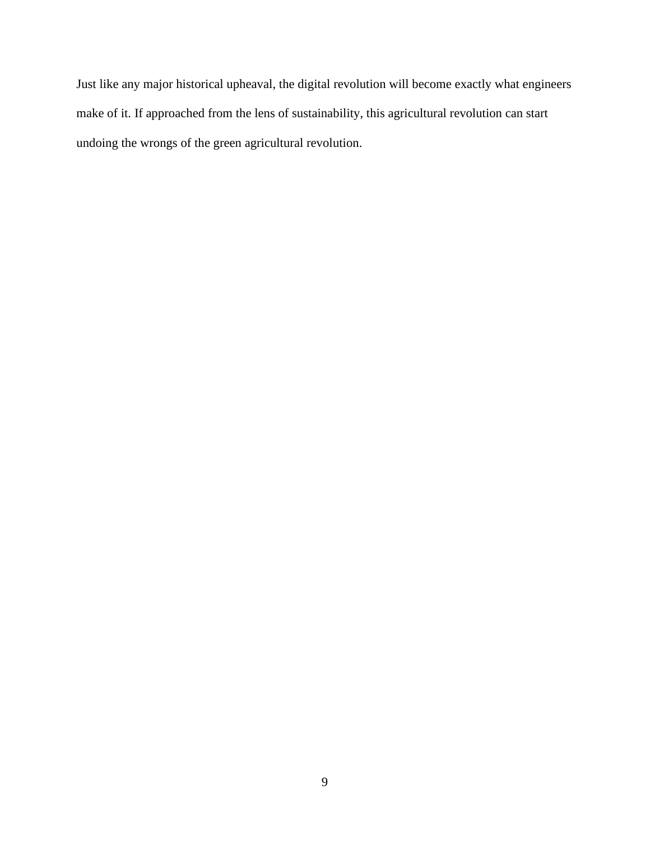Just like any major historical upheaval, the digital revolution will become exactly what engineers make of it. If approached from the lens of sustainability, this agricultural revolution can start undoing the wrongs of the green agricultural revolution.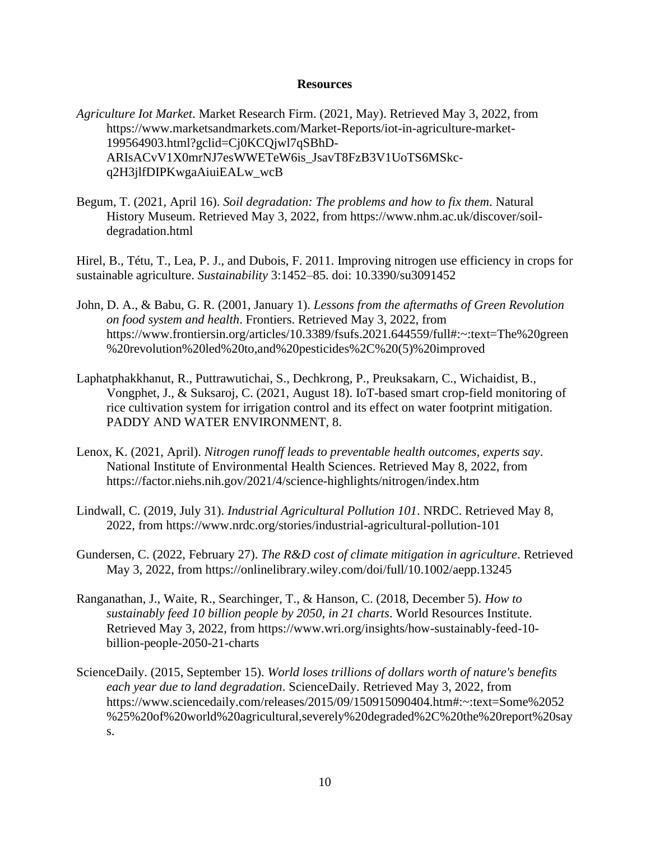#### **Resources**

- *Agriculture Iot Market*. Market Research Firm. (2021, May). Retrieved May 3, 2022, from https://www.marketsandmarkets.com/Market-Reports/iot-in-agriculture-market-199564903.html?gclid=Cj0KCQjwl7qSBhD-ARIsACvV1X0mrNJ7esWWETeW6is\_JsavT8FzB3V1UoTS6MSkcq2H3jlfDIPKwgaAiuiEALw\_wcB
- Begum, T. (2021, April 16). *Soil degradation: The problems and how to fix them*. Natural History Museum. Retrieved May 3, 2022, from https://www.nhm.ac.uk/discover/soildegradation.html

Hirel, B., Tétu, T., Lea, P. J., and Dubois, F. 2011. Improving nitrogen use efficiency in crops for sustainable agriculture. *Sustainability* 3:1452–85. doi: 10.3390/su3091452

- John, D. A., & Babu, G. R. (2001, January 1). *Lessons from the aftermaths of Green Revolution on food system and health*. Frontiers. Retrieved May 3, 2022, from https://www.frontiersin.org/articles/10.3389/fsufs.2021.644559/full#:~:text=The%20green %20revolution%20led%20to,and%20pesticides%2C%20(5)%20improved
- Laphatphakkhanut, R., Puttrawutichai, S., Dechkrong, P., Preuksakarn, C., Wichaidist, B., Vongphet, J., & Suksaroj, C. (2021, August 18). IoT-based smart crop-field monitoring of rice cultivation system for irrigation control and its effect on water footprint mitigation. PADDY AND WATER ENVIRONMENT, 8.
- Lenox, K. (2021, April). *Nitrogen runoff leads to preventable health outcomes, experts say*. National Institute of Environmental Health Sciences. Retrieved May 8, 2022, from https://factor.niehs.nih.gov/2021/4/science-highlights/nitrogen/index.htm
- Lindwall, C. (2019, July 31). *Industrial Agricultural Pollution 101*. NRDC. Retrieved May 8, 2022, from https://www.nrdc.org/stories/industrial-agricultural-pollution-101
- Gundersen, C. (2022, February 27). *The R&D cost of climate mitigation in agriculture*. Retrieved May 3, 2022, from https://onlinelibrary.wiley.com/doi/full/10.1002/aepp.13245
- Ranganathan, J., Waite, R., Searchinger, T., & Hanson, C. (2018, December 5). *How to sustainably feed 10 billion people by 2050, in 21 charts*. World Resources Institute. Retrieved May 3, 2022, from https://www.wri.org/insights/how-sustainably-feed-10 billion-people-2050-21-charts
- ScienceDaily. (2015, September 15). *World loses trillions of dollars worth of nature's benefits each year due to land degradation*. ScienceDaily. Retrieved May 3, 2022, from https://www.sciencedaily.com/releases/2015/09/150915090404.htm#:~:text=Some%2052 %25%20of%20world%20agricultural,severely%20degraded%2C%20the%20report%20say s.